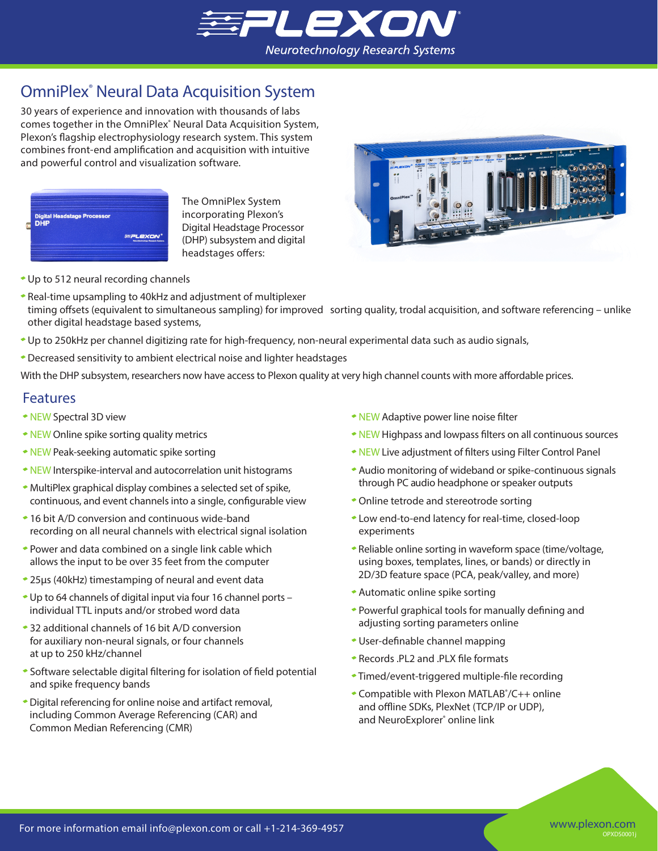

# OmniPlex® Neural Data Acquisition System

30 years of experience and innovation with thousands of labs comes together in the OmniPlex<sup>®</sup> Neural Data Acquisition System, Plexon's flagship electrophysiology research system. This system combines front-end amplification and acquisition with intuitive and powerful control and visualization software.



The OmniPlex System incorporating Plexon's Digital Headstage Processor (DHP) subsystem and digital headstages offers:



- Up to 512 neural recording channels
- Real-time upsampling to 40kHz and adjustment of multiplexer timing offsets (equivalent to simultaneous sampling) for improved sorting quality, trodal acquisition, and software referencing – unlike other digital headstage based systems,
- Up to 250kHz per channel digitizing rate for high-frequency, non-neural experimental data such as audio signals,
- Decreased sensitivity to ambient electrical noise and lighter headstages

With the DHP subsystem, researchers now have access to Plexon quality at very high channel counts with more affordable prices.

#### Features

- NEW Spectral 3D view
- NEW Online spike sorting quality metrics
- NEW Peak-seeking automatic spike sorting
- NEW Interspike-interval and autocorrelation unit histograms
- MultiPlex graphical display combines a selected set of spike, continuous, and event channels into a single, configurable view
- 16 bit A/D conversion and continuous wide-band recording on all neural channels with electrical signal isolation
- Power and data combined on a single link cable which allows the input to be over 35 feet from the computer
- 25μs (40kHz) timestamping of neural and event data
- Up to 64 channels of digital input via four 16 channel ports individual TTL inputs and/or strobed word data
- 32 additional channels of 16 bit A/D conversion for auxiliary non-neural signals, or four channels at up to 250 kHz/channel
- Software selectable digital filtering for isolation of field potential and spike frequency bands
- Digital referencing for online noise and artifact removal, including Common Average Referencing (CAR) and Common Median Referencing (CMR)
- NEW Adaptive power line noise filter
- NEW Highpass and lowpass filters on all continuous sources
- NEW Live adjustment of filters using Filter Control Panel
- Audio monitoring of wideband or spike-continuous signals through PC audio headphone or speaker outputs
- Online tetrode and stereotrode sorting
- Low end-to-end latency for real-time, closed-loop experiments
- Reliable online sorting in waveform space (time/voltage, using boxes, templates, lines, or bands) or directly in 2D/3D feature space (PCA, peak/valley, and more)
- Automatic online spike sorting
- Powerful graphical tools for manually defining and adjusting sorting parameters online
- User-definable channel mapping
- Records .PL2 and .PLX file formats
- Timed/event-triggered multiple-file recording
- Compatible with Plexon MATLAB<sup>®</sup>/C++ online and offline SDKs, PlexNet (TCP/IP or UDP), and NeuroExplorer<sup>®</sup> online link